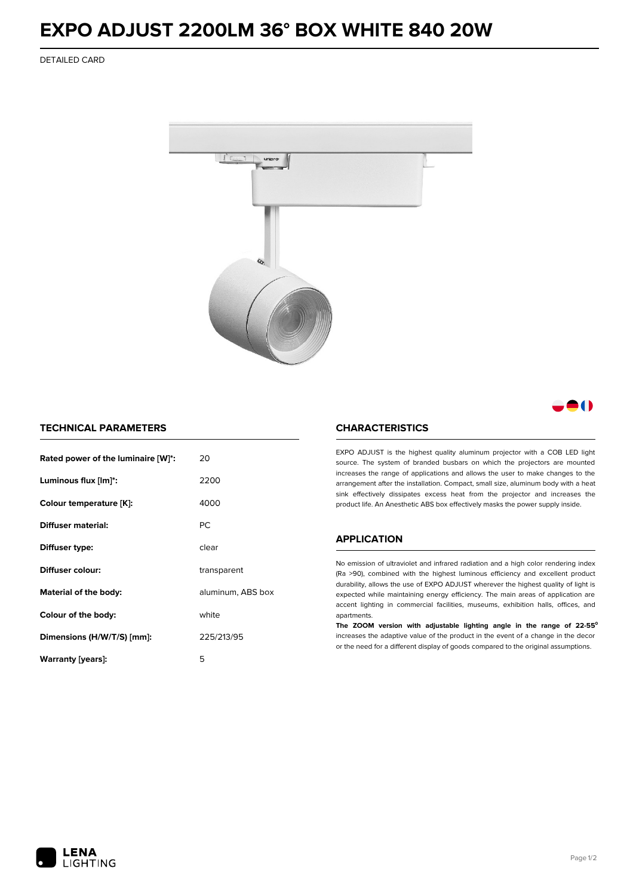## **EXPO ADJUST 2200LM 36° BOX WHITE 840 20W**

DETAILED CARD



### - 1

### **TECHNICAL PARAMETERS**

| Rated power of the luminaire [W]*: | 20                |  |
|------------------------------------|-------------------|--|
| Luminous flux [lm]*:               | 2200              |  |
| Colour temperature [K]:            | 4000              |  |
| Diffuser material:                 | РC                |  |
| Diffuser type:                     | clear             |  |
| Diffuser colour:                   | transparent       |  |
| Material of the body:              | aluminum, ABS box |  |
| Colour of the body:                | white             |  |
| Dimensions (H/W/T/S) [mm]:         | 225/213/95        |  |
| Warranty [years]:                  | 5                 |  |

#### **CHARACTERISTICS**

EXPO ADJUST is the highest quality aluminum projector with a COB LED light source. The system of branded busbars on which the projectors are mounted increases the range of applications and allows the user to make changes to the arrangement after the installation. Compact, small size, aluminum body with a heat sink effectively dissipates excess heat from the projector and increases the product life. An Anesthetic ABS box effectively masks the power supply inside.

#### **APPLICATION**

No emission of ultraviolet and infrared radiation and a high color rendering index (Ra >90), combined with the highest luminous efficiency and excellent product durability, allows the use of EXPO ADJUST wherever the highest quality of light is expected while maintaining energy efficiency. The main areas of application are accent lighting in commercial facilities, museums, exhibition halls, offices, and apartments.

**The ZOOM version with adjustable lighting angle in the range of 22-55⁰** increases the adaptive value of the product in the event of a change in the decor or the need for a different display of goods compared to the original assumptions.